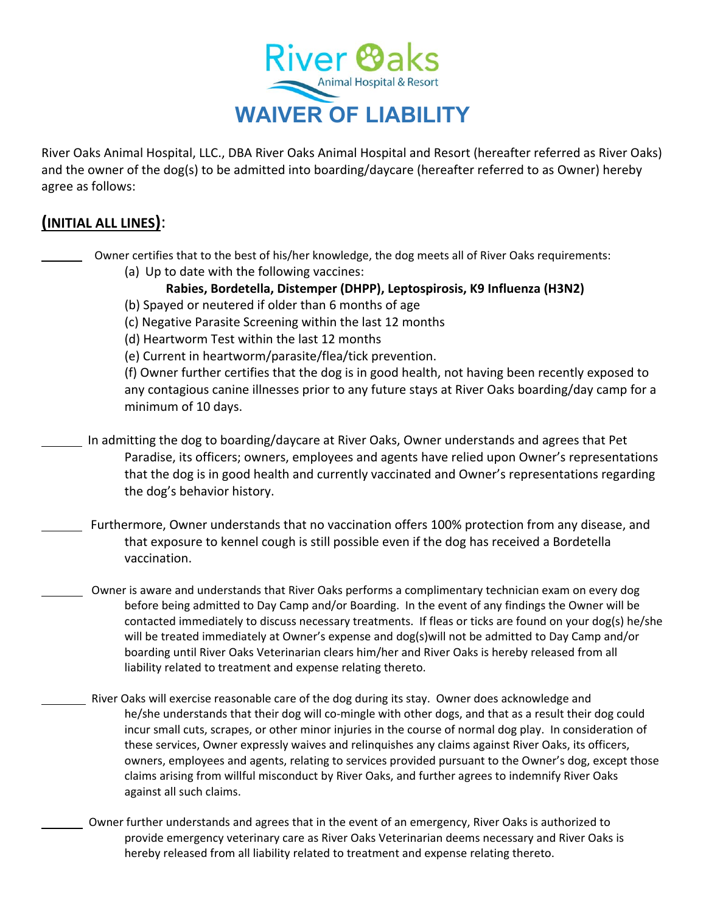

River Oaks Animal Hospital, LLC., DBA River Oaks Animal Hospital and Resort (hereafter referred as River Oaks) and the owner of the dog(s) to be admitted into boarding/daycare (hereafter referred to as Owner) hereby agree as follows:

## **(INITIAL ALL LINES)**:

- Owner certifies that to the best of his/her knowledge, the dog meets all of River Oaks requirements:
	- (a) Up to date with the following vaccines:

## **Rabies, Bordetella, Distemper (DHPP), Leptospirosis, K9 Influenza (H3N2)**

- (b) Spayed or neutered if older than 6 months of age
- (c) Negative Parasite Screening within the last 12 months
- (d) Heartworm Test within the last 12 months
- (e) Current in heartworm/parasite/flea/tick prevention.

(f) Owner further certifies that the dog is in good health, not having been recently exposed to any contagious canine illnesses prior to any future stays at River Oaks boarding/day camp for a minimum of 10 days.

- In admitting the dog to boarding/daycare at River Oaks, Owner understands and agrees that Pet Paradise, its officers; owners, employees and agents have relied upon Owner's representations that the dog is in good health and currently vaccinated and Owner's representations regarding the dog's behavior history.
- Furthermore, Owner understands that no vaccination offers 100% protection from any disease, and that exposure to kennel cough is still possible even if the dog has received a Bordetella vaccination.
- Owner is aware and understands that River Oaks performs a complimentary technician exam on every dog before being admitted to Day Camp and/or Boarding. In the event of any findings the Owner will be contacted immediately to discuss necessary treatments. If fleas or ticks are found on your dog(s) he/she will be treated immediately at Owner's expense and dog(s)will not be admitted to Day Camp and/or boarding until River Oaks Veterinarian clears him/her and River Oaks is hereby released from all liability related to treatment and expense relating thereto.
	- River Oaks will exercise reasonable care of the dog during its stay. Owner does acknowledge and he/she understands that their dog will co-mingle with other dogs, and that as a result their dog could incur small cuts, scrapes, or other minor injuries in the course of normal dog play. In consideration of these services, Owner expressly waives and relinquishes any claims against River Oaks, its officers, owners, employees and agents, relating to services provided pursuant to the Owner's dog, except those claims arising from willful misconduct by River Oaks, and further agrees to indemnify River Oaks against all such claims.
	- Owner further understands and agrees that in the event of an emergency, River Oaks is authorized to provide emergency veterinary care as River Oaks Veterinarian deems necessary and River Oaks is hereby released from all liability related to treatment and expense relating thereto.